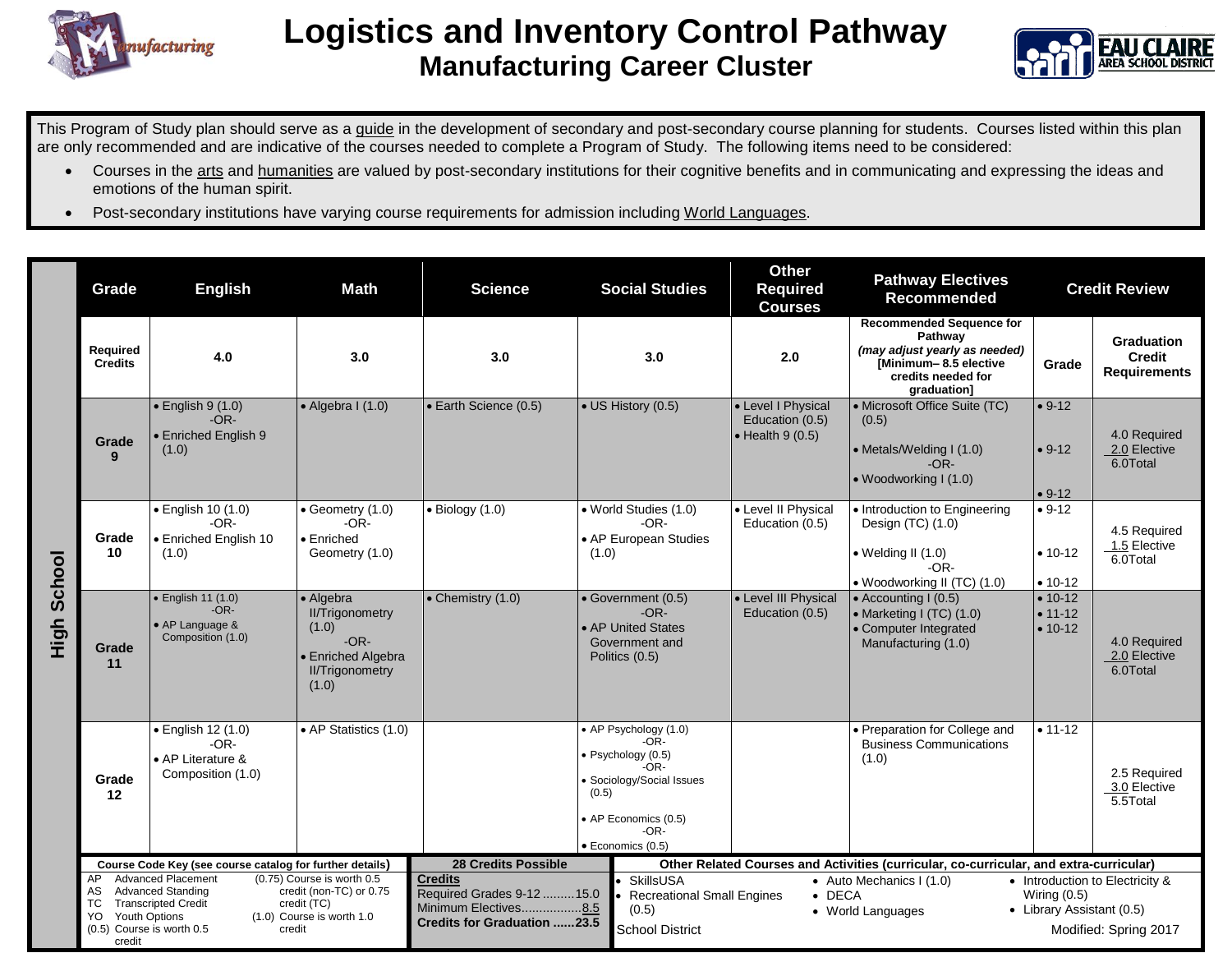



This Program of Study plan should serve as a guide in the development of secondary and post-secondary course planning for students. Courses listed within this plan are only recommended and are indicative of the courses needed to complete a Program of Study. The following items need to be considered:

- Courses in the arts and humanities are valued by post-secondary institutions for their cognitive benefits and in communicating and expressing the ideas and emotions of the human spirit.
- Post-secondary institutions have varying course requirements for admission including World Languages.

|                | Grade                                                                          | <b>English</b>                                                                                                                                            | <b>Math</b>                                                                                                          | <b>Science</b>                                                                                                                          | <b>Social Studies</b>                                                                                                                                        | <b>Other</b><br><b>Required</b><br><b>Courses</b>                 | <b>Pathway Electives</b><br><b>Recommended</b>                                                                                           |                                             | <b>Credit Review</b>                                     |
|----------------|--------------------------------------------------------------------------------|-----------------------------------------------------------------------------------------------------------------------------------------------------------|----------------------------------------------------------------------------------------------------------------------|-----------------------------------------------------------------------------------------------------------------------------------------|--------------------------------------------------------------------------------------------------------------------------------------------------------------|-------------------------------------------------------------------|------------------------------------------------------------------------------------------------------------------------------------------|---------------------------------------------|----------------------------------------------------------|
|                | Required<br><b>Credits</b>                                                     | 4.0                                                                                                                                                       | 3.0                                                                                                                  | 3.0                                                                                                                                     | 3.0                                                                                                                                                          | 2.0                                                               | <b>Recommended Sequence for</b><br>Pathway<br>(may adjust yearly as needed)<br>Minimum-8.5 elective<br>credits needed for<br>graduation] | Grade                                       | Graduation<br><b>Credit</b><br><b>Requirements</b>       |
| School<br>High | Grade<br>9                                                                     | $\bullet$ English 9 (1.0)<br>$-OR-$<br><b>Enriched English 9</b><br>(1.0)                                                                                 | $\bullet$ Algebra I (1.0)                                                                                            | • Earth Science (0.5)                                                                                                                   | • US History (0.5)                                                                                                                                           | • Level I Physical<br>Education (0.5)<br>$\bullet$ Health 9 (0.5) | • Microsoft Office Suite (TC)<br>(0.5)<br>• Metals/Welding I (1.0)<br>$-OR-$<br>• Woodworking I (1.0)                                    | $• 9-12$<br>$• 9-12$<br>$• 9-12$            | 4.0 Required<br>2.0 Elective<br>6.0Total                 |
|                | Grade<br>10                                                                    | $\bullet$ English 10 (1.0)<br>$-OR-$<br>· Enriched English 10<br>(1.0)                                                                                    | $\bullet$ Geometry (1.0)<br>$-OR-$<br>• Enriched<br>Geometry (1.0)                                                   | $\bullet$ Biology (1.0)                                                                                                                 | • World Studies (1.0)<br>$-OR-$<br>• AP European Studies<br>(1.0)                                                                                            | • Level II Physical<br>Education (0.5)                            | • Introduction to Engineering<br>Design (TC) (1.0)<br>• Welding II (1.0)<br>$-OR-$<br>• Woodworking II (TC) (1.0)                        | $• 9-12$<br>$• 10-12$<br>$• 10-12$          | 4.5 Required<br>1.5 Elective<br>6.0Total                 |
|                | Grade<br>11                                                                    | • English 11 (1.0)<br>$-OR-$<br>• AP Language &<br>Composition (1.0)                                                                                      | • Algebra<br><b>II/Trigonometry</b><br>(1.0)<br>$-OR-$<br><b>Enriched Algebra</b><br><b>II/Trigonometry</b><br>(1.0) | $\bullet$ Chemistry (1.0)                                                                                                               | · Government (0.5)<br>$-OR-$<br>• AP United States<br>Government and<br>Politics (0.5)                                                                       | • Level III Physical<br>Education (0.5)                           | • Accounting I (0.5)<br>• Marketing I (TC) (1.0)<br>• Computer Integrated<br>Manufacturing (1.0)                                         | $• 10-12$<br>$• 11 - 12$<br>$• 10-12$       | 4.0 Required<br>2.0 Elective<br>6.0Total                 |
|                | Grade<br>$12 \,$                                                               | · English 12 (1.0)<br>$-OR-$<br>• AP Literature &<br>Composition (1.0)                                                                                    | • AP Statistics (1.0)                                                                                                |                                                                                                                                         | • AP Psychology (1.0)<br>$-OR-$<br>· Psychology (0.5)<br>$-OR-$<br>· Sociology/Social Issues<br>(0.5)<br>• AP Economics (0.5)<br>$-OR-$<br>· Economics (0.5) |                                                                   | · Preparation for College and<br><b>Business Communications</b><br>(1.0)                                                                 | $• 11 - 12$                                 | 2.5 Required<br>3.0 Elective<br>5.5Total                 |
|                | AP<br>AS<br>TC.<br>Youth Options<br>YO.<br>(0.5) Course is worth 0.5<br>credit | Course Code Key (see course catalog for further details)<br><b>Advanced Placement</b><br><b>Advanced Standing</b><br><b>Transcripted Credit</b><br>credit | (0.75) Course is worth 0.5<br>credit (non-TC) or 0.75<br>credit (TC)<br>(1.0) Course is worth 1.0                    | <b>28 Credits Possible</b><br><b>Credits</b><br>Required Grades 9-12 15.0<br>Minimum Electives8.5<br><b>Credits for Graduation 23.5</b> | <b>SkillsUSA</b><br><b>Recreational Small Engines</b><br>(0.5)<br><b>School District</b>                                                                     | $\bullet$ DECA                                                    | Other Related Courses and Activities (curricular, co-curricular, and extra-curricular)<br>• Auto Mechanics I (1.0)<br>• World Languages  | Wiring $(0.5)$<br>• Library Assistant (0.5) | • Introduction to Electricity &<br>Modified: Spring 2017 |